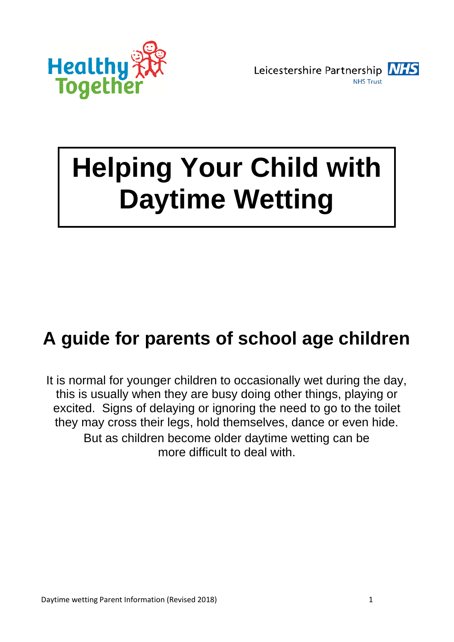

Leicestershire Partnership NHS **NHS Trust** 

# **Helping Your Child with Daytime Wetting**

# **A guide for parents of school age children**

It is normal for younger children to occasionally wet during the day, this is usually when they are busy doing other things, playing or excited. Signs of delaying or ignoring the need to go to the toilet they may cross their legs, hold themselves, dance or even hide. But as children become older daytime wetting can be more difficult to deal with.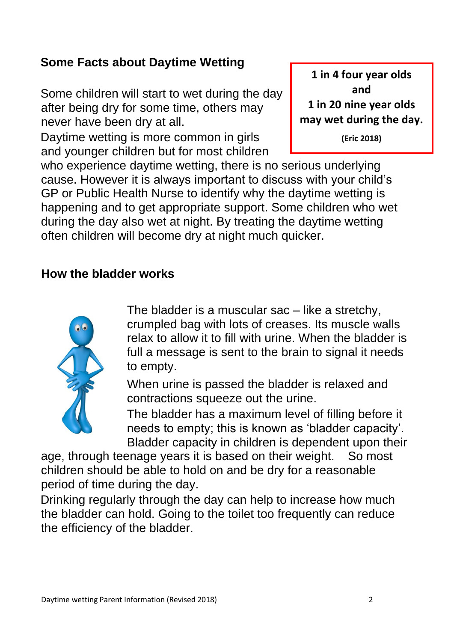## **Some Facts about Daytime Wetting**

Some children will start to wet during the day after being dry for some time, others may never have been dry at all.

Daytime wetting is more common in girls and younger children but for most children

## **1 in 4 four year olds and**

**1 in 20 nine year olds may wet during the day.**

**(Eric 2018)**

who experience daytime wetting, there is no serious underlying cause. However it is always important to discuss with your child's GP or Public Health Nurse to identify why the daytime wetting is happening and to get appropriate support. Some children who wet during the day also wet at night. By treating the daytime wetting often children will become dry at night much quicker.

#### **How the bladder works**



The bladder is a muscular sac – like a stretchy, crumpled bag with lots of creases. Its muscle walls relax to allow it to fill with urine. When the bladder is full a message is sent to the brain to signal it needs to empty.

When urine is passed the bladder is relaxed and contractions squeeze out the urine.

The bladder has a maximum level of filling before it needs to empty; this is known as 'bladder capacity'. Bladder capacity in children is dependent upon their

age, through teenage years it is based on their weight. So most children should be able to hold on and be dry for a reasonable period of time during the day.

Drinking regularly through the day can help to increase how much the bladder can hold. Going to the toilet too frequently can reduce the efficiency of the bladder.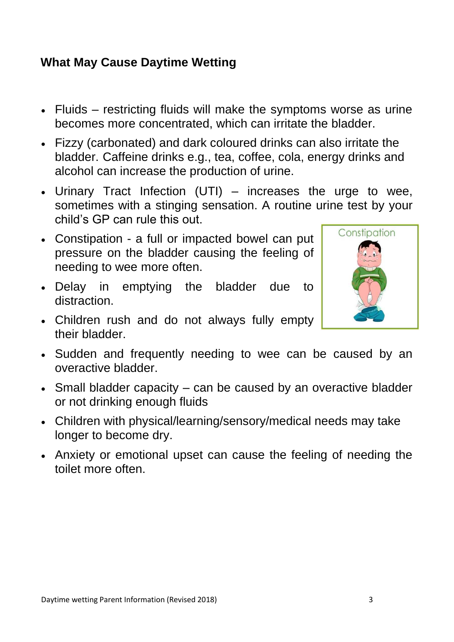#### **What May Cause Daytime Wetting**

- Fluids restricting fluids will make the symptoms worse as urine becomes more concentrated, which can irritate the bladder.
- Fizzy (carbonated) and dark coloured drinks can also irritate the bladder. Caffeine drinks e.g., tea, coffee, cola, energy drinks and alcohol can increase the production of urine.
- Urinary Tract Infection (UTI) increases the urge to wee, sometimes with a stinging sensation. A routine urine test by your child's GP can rule this out.
- Constipation a full or impacted bowel can put pressure on the bladder causing the feeling of needing to wee more often.
- Delay in emptying the bladder due to distraction.
- Children rush and do not always fully empty their bladder.
- Sudden and frequently needing to wee can be caused by an overactive bladder.
- Small bladder capacity can be caused by an overactive bladder or not drinking enough fluids
- Children with physical/learning/sensory/medical needs may take longer to become dry.
- Anxiety or emotional upset can cause the feeling of needing the toilet more often.

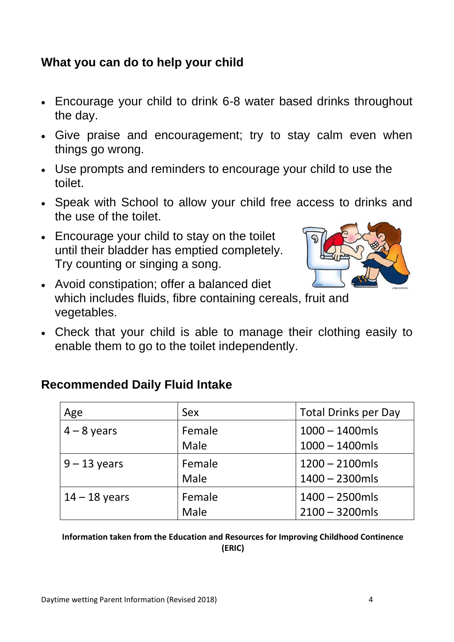#### **What you can do to help your child**

- Encourage your child to drink 6-8 water based drinks throughout the day.
- Give praise and encouragement; try to stay calm even when things go wrong.
- Use prompts and reminders to encourage your child to use the toilet.
- Speak with School to allow your child free access to drinks and the use of the toilet.
- Encourage your child to stay on the toilet until their bladder has emptied completely. Try counting or singing a song.



- Avoid constipation; offer a balanced diet which includes fluids, fibre containing cereals, fruit and vegetables.
- Check that your child is able to manage their clothing easily to enable them to go to the toilet independently.

#### **Recommended Daily Fluid Intake**

| Age             | <b>Sex</b> | <b>Total Drinks per Day</b> |
|-----------------|------------|-----------------------------|
| $4 - 8$ years   | Female     | $1000 - 1400$ mls           |
|                 | Male       | $1000 - 1400$ mls           |
| $9 - 13$ years  | Female     | $1200 - 2100$ mls           |
|                 | Male       | $1400 - 2300$ mls           |
| $14 - 18$ years | Female     | $1400 - 2500$ mls           |
|                 | Male       | $2100 - 3200$ mls           |

**Information taken from the Education and Resources for Improving Childhood Continence (ERIC)**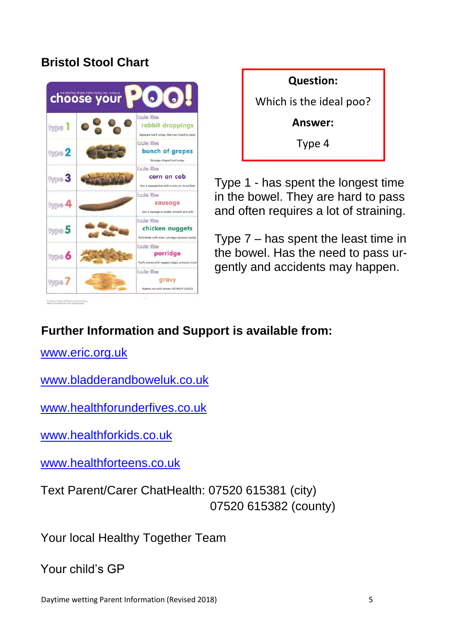#### **Bristol Stool Chart**





Type 1 - has spent the longest time in the bowel. They are hard to pass and often requires a lot of straining.

Type 7 – has spent the least time in the bowel. Has the need to pass urgently and accidents may happen.

# **Further Information and Support is available from:**

[www.eric.org.uk](http://www.eric.org.uk/)

[www.bladderandboweluk.co.uk](http://www.bladderandboweluk.co.uk/)

www.healthforunderfives.co.uk

[www.healthforkids.co.uk](http://www.healthforkids.co.uk/)

www.healthforteens.co.uk

Text Parent/Carer ChatHealth: 07520 615381 (city) 07520 615382 (county)

Your local Healthy Together Team

Your child's GP